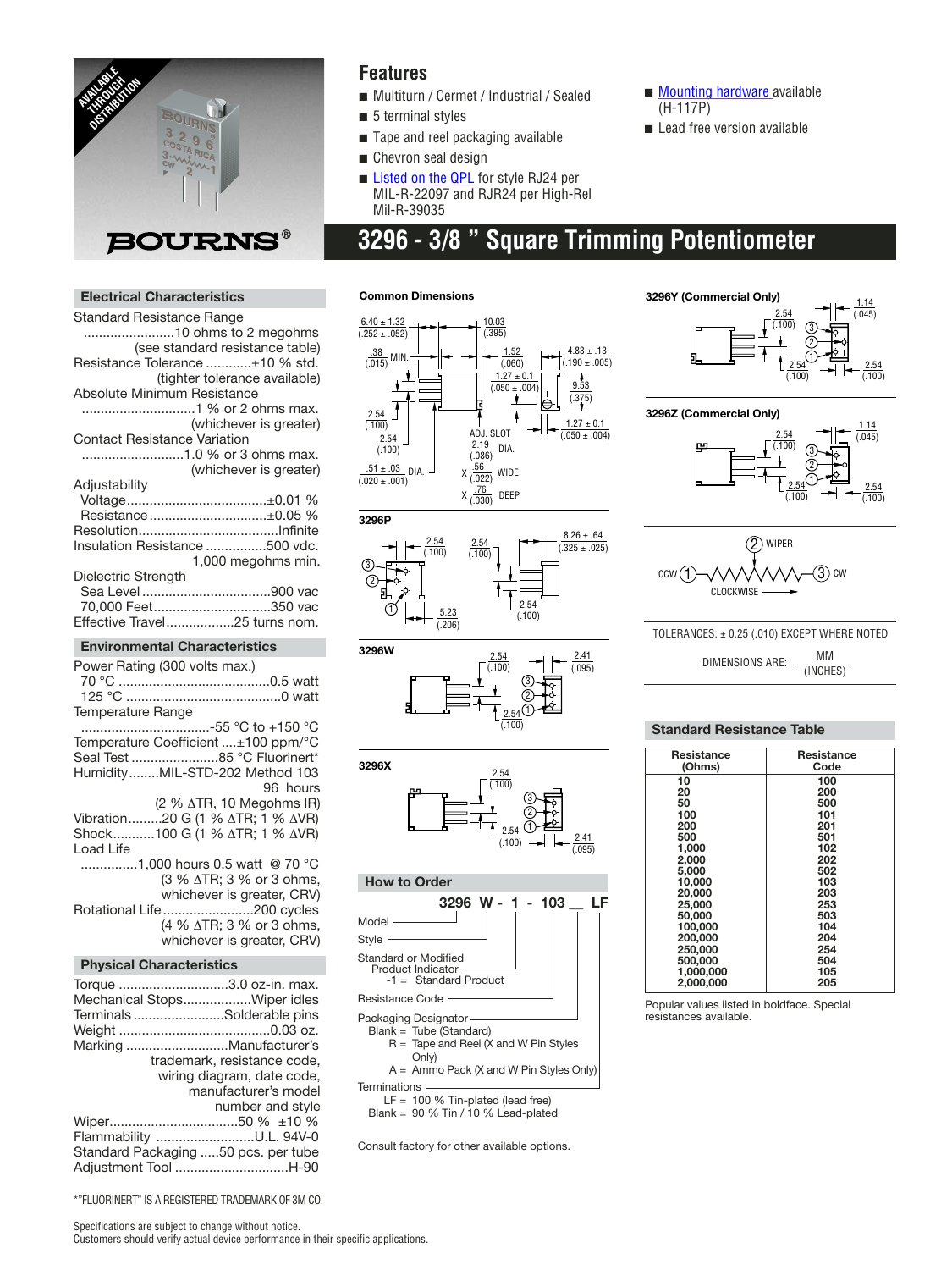

## **Features**

- Multiturn / Cermet / Industrial / Sealed
- 5 terminal styles
- Tape and reel packaging available
- Chevron seal design
- [Listed on the QPL](http://www.bourns.com/2/pdfs/qualified_parts_numbers.pdf) for style RJ24 per MIL-R-22097 and RJR24 per High-Rel Mil-R-39035
- [Mounting hardware av](http://www.bourns.com/2/pdfs/pnl_mnt.pdf)ailable (H-117P)
- Lead free version available
- **3296 3/8 " Square Trimming Potentiometer**

#### **Electrical Characteristics**

| Standard Resistance Range                                         |                                     |
|-------------------------------------------------------------------|-------------------------------------|
| 10 ohms to 2 megohms                                              |                                     |
|                                                                   | (see standard resistance table)     |
| Resistance Tolerance ±10 % std.                                   |                                     |
|                                                                   | (tighter tolerance available)       |
| <b>Absolute Minimum Resistance</b>                                |                                     |
|                                                                   |                                     |
|                                                                   | (whichever is greater)              |
| <b>Contact Resistance Variation</b>                               |                                     |
| 1.0 % or 3 ohms max.                                              |                                     |
|                                                                   | (whichever is greater)              |
| Adjustability                                                     |                                     |
|                                                                   |                                     |
| Resistance±0.05 %                                                 |                                     |
|                                                                   |                                     |
| Insulation Resistance 500 vdc.                                    |                                     |
|                                                                   | 1,000 megohms min.                  |
|                                                                   |                                     |
| Dielectric Strength                                               |                                     |
|                                                                   |                                     |
| 70,000 Feet350 vac                                                |                                     |
| Effective Travel25 turns nom.                                     |                                     |
| <b>Environmental Characteristics</b>                              |                                     |
| Power Rating (300 volts max.)                                     |                                     |
|                                                                   |                                     |
|                                                                   |                                     |
| Temperature Range                                                 |                                     |
|                                                                   |                                     |
| Temperature Coefficient ±100 ppm/°C                               |                                     |
| Seal Test 85 °C Fluorinert*                                       |                                     |
|                                                                   |                                     |
| HumidityMIL-STD-202 Method 103                                    |                                     |
|                                                                   | 96 hours                            |
|                                                                   | (2 % ATR, 10 Megohms IR)            |
| Vibration20 G (1 % ΔTR; 1 % ΔVR)<br>Shock100 G (1 % ΔTR; 1 % ΔVR) |                                     |
|                                                                   |                                     |
| Load Life                                                         |                                     |
| 1,000 hours 0.5 watt @ 70 °C                                      |                                     |
|                                                                   | (3 % ∆TR; 3 % or 3 ohms,            |
|                                                                   | whichever is greater, CRV)          |
| Rotational Life200 cycles                                         |                                     |
|                                                                   | (4 % $\triangle$ TR; 3 % or 3 ohms, |
|                                                                   |                                     |

#### whichever is greater, CRV) **Physical Characteristics**

| Torque 3.0 oz-in. max.              |
|-------------------------------------|
| Mechanical StopsWiper idles         |
| TerminalsSolderable pins            |
|                                     |
| Marking Manufacturer's              |
| trademark, resistance code,         |
| wiring diagram, date code,          |
| manufacturer's model                |
| number and style                    |
|                                     |
| Flammability U.L. 94V-0             |
| Standard Packaging 50 pcs. per tube |
| Adiustment Tool H-90                |

#### **Common Dimensions**









### **How to Order**



 $R =$  Tape and Reel (X and W Pin Styles Only)

A = Ammo Pack (X and W Pin Styles Only)

**Terminations** 

 $LF = 100 %$  Tin-plated (lead free)

Blank = 90 % Tin / 10 % Lead-plated

Consult factory for other available options.



#### **3296Z (Commercial Only)**





#### TOLERANCES: ± 0.25 (.010) EXCEPT WHERE NOTED

DIMENSIONS ARE: MM (INCHES)

#### **Standard Resistance Table**

| <b>Resistance</b> | Resistance |
|-------------------|------------|
| (Ohms)            | Code       |
| 10                | 100        |
| 20                | 200        |
| 50                | 500        |
| 100               | 101        |
| 200               | 201        |
| 500               | 501        |
| 1.000             | 102        |
| 2,000             | 202        |
| 5.000             | 502        |
| 10.000            | 103        |
| 20,000            | 203        |
| 25,000            | 253        |
| 50,000            | 503        |
| 100,000           | 104        |
| 200.000           | 204        |
| 250,000           | 254        |
| 500,000           | 504        |
| 1,000,000         | 105        |
| 2.000.000         | 205        |

Popular values listed in boldface. Special resistances available.

\*"FLUORINERT" IS A REGISTERED TRADEMARK OF 3M CO.

Specifications are subject to change without notice. Customers should verify actual device performance in their specific applications.